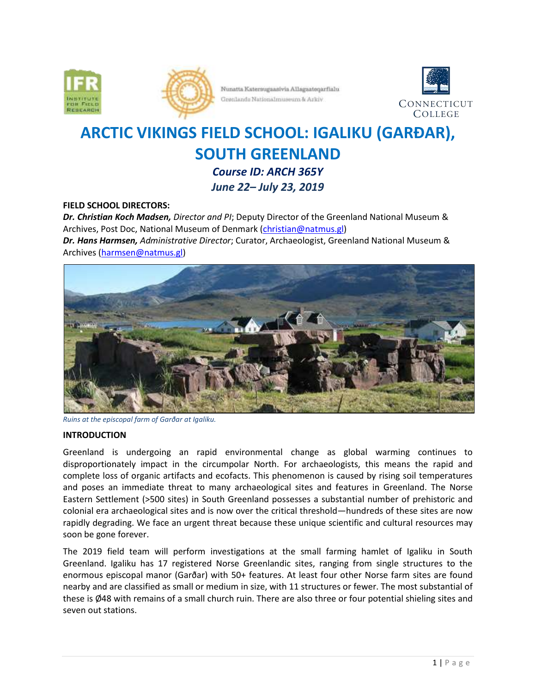



Nunatta Katermugaasivia Allagaateqarfialu Grønlands Nationalmuseum & Arkiv



# **ARCTIC VIKINGS FIELD SCHOOL: IGALIKU (GARÐAR), SOUTH GREENLAND** *Course ID: ARCH 365Y*

*June 22– July 23, 2019*

## **FIELD SCHOOL DIRECTORS:**

*Dr. Christian Koch Madsen, Director and PI*; Deputy Director of the Greenland National Museum & Archives, Post Doc, National Museum of Denmark [\(christian@natmus.gl\)](mailto:christian@natmus.gl) *Dr. Hans Harmsen, Administrative Director*; Curator, Archaeologist, Greenland National Museum & Archives [\(harmsen@natmus.gl\)](mailto:harmsen@natmus.gl)



*Ruins at the episcopal farm of Garðar at Igaliku.*

#### **INTRODUCTION**

Greenland is undergoing an rapid environmental change as global warming continues to disproportionately impact in the circumpolar North. For archaeologists, this means the rapid and complete loss of organic artifacts and ecofacts. This phenomenon is caused by rising soil temperatures and poses an immediate threat to many archaeological sites and features in Greenland. The Norse Eastern Settlement (>500 sites) in South Greenland possesses a substantial number of prehistoric and colonial era archaeological sites and is now over the critical threshold—hundreds of these sites are now rapidly degrading. We face an urgent threat because these unique scientific and cultural resources may soon be gone forever.

The 2019 field team will perform investigations at the small farming hamlet of Igaliku in South Greenland. Igaliku has 17 registered Norse Greenlandic sites, ranging from single structures to the enormous episcopal manor (Garðar) with 50+ features. At least four other Norse farm sites are found nearby and are classified as small or medium in size, with 11 structures or fewer. The most substantial of these is Ø48 with remains of a small church ruin. There are also three or four potential shieling sites and seven out stations.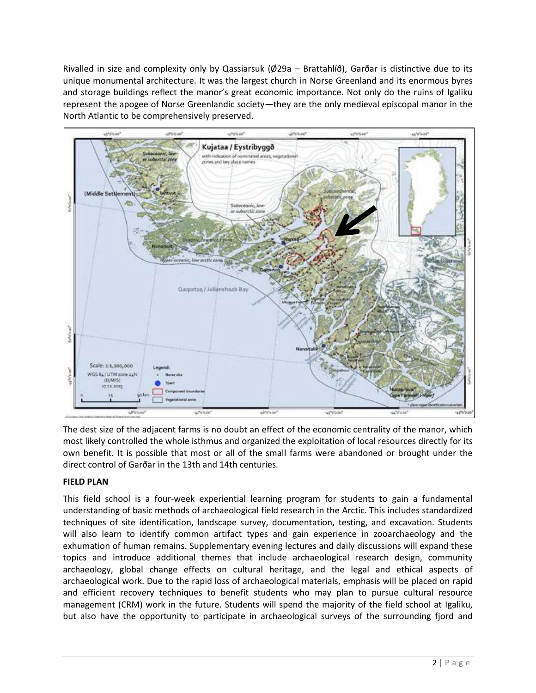Rivalled in size and complexity only by Qassiarsuk (Ø29a – Brattahlíð), Garðar is distinctive due to its unique monumental architecture. It was the largest church in Norse Greenland and its enormous byres and storage buildings reflect the manor's great economic importance. Not only do the ruins of Igaliku represent the apogee of Norse Greenlandic society—they are the only medieval episcopal manor in the North Atlantic to be comprehensively preserved.



The dest size of the adjacent farms is no doubt an effect of the economic centrality of the manor, which most likely controlled the whole isthmus and organized the exploitation of local resources directly for its own benefit. It is possible that most or all of the small farms were abandoned or brought under the direct control of Garðar in the 13th and 14th centuries.

## **FIELD PLAN**

This field school is a four-week experiential learning program for students to gain a fundamental understanding of basic methods of archaeological field research in the Arctic. This includes standardized techniques of site identification, landscape survey, documentation, testing, and excavation. Students will also learn to identify common artifact types and gain experience in zooarchaeology and the exhumation of human remains. Supplementary evening lectures and daily discussions will expand these topics and introduce additional themes that include archaeological research design, community archaeology, global change effects on cultural heritage, and the legal and ethical aspects of archaeological work. Due to the rapid loss of archaeological materials, emphasis will be placed on rapid and efficient recovery techniques to benefit students who may plan to pursue cultural resource management (CRM) work in the future. Students will spend the majority of the field school at Igaliku, but also have the opportunity to participate in archaeological surveys of the surrounding fjord and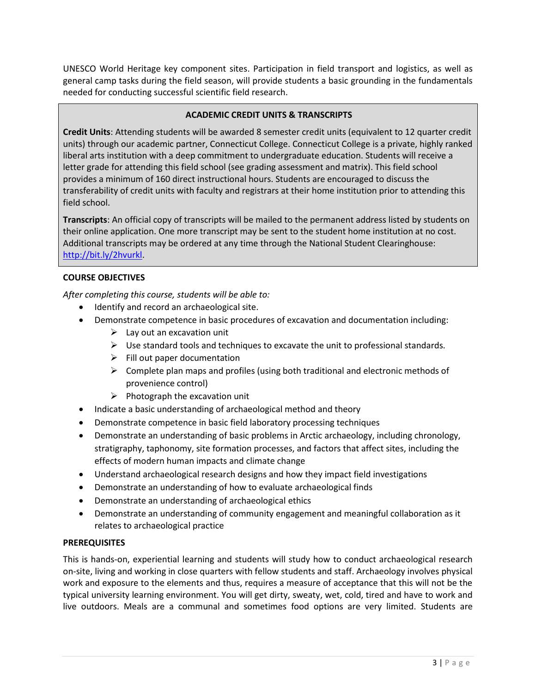UNESCO World Heritage key component sites. Participation in field transport and logistics, as well as general camp tasks during the field season, will provide students a basic grounding in the fundamentals needed for conducting successful scientific field research.

## **ACADEMIC CREDIT UNITS & TRANSCRIPTS**

**Credit Units**: Attending students will be awarded 8 semester credit units (equivalent to 12 quarter credit units) through our academic partner, Connecticut College. Connecticut College is a private, highly ranked liberal arts institution with a deep commitment to undergraduate education. Students will receive a letter grade for attending this field school (see grading assessment and matrix). This field school provides a minimum of 160 direct instructional hours. Students are encouraged to discuss the transferability of credit units with faculty and registrars at their home institution prior to attending this field school.

**Transcripts**: An official copy of transcripts will be mailed to the permanent address listed by students on their online application. One more transcript may be sent to the student home institution at no cost. Additional transcripts may be ordered at any time through the National Student Clearinghouse: [http://bit.ly/2hvurkl.](http://bit.ly/2hvurkl)

## **COURSE OBJECTIVES**

*After completing this course, students will be able to:*

- Identify and record an archaeological site.
- Demonstrate competence in basic procedures of excavation and documentation including:
	- $\triangleright$  Lay out an excavation unit
	- $\triangleright$  Use standard tools and techniques to excavate the unit to professional standards.
	- $\triangleright$  Fill out paper documentation
	- $\triangleright$  Complete plan maps and profiles (using both traditional and electronic methods of provenience control)
	- $\triangleright$  Photograph the excavation unit
- Indicate a basic understanding of archaeological method and theory
- Demonstrate competence in basic field laboratory processing techniques
- Demonstrate an understanding of basic problems in Arctic archaeology, including chronology, stratigraphy, taphonomy, site formation processes, and factors that affect sites, including the effects of modern human impacts and climate change
- Understand archaeological research designs and how they impact field investigations
- Demonstrate an understanding of how to evaluate archaeological finds
- Demonstrate an understanding of archaeological ethics
- Demonstrate an understanding of community engagement and meaningful collaboration as it relates to archaeological practice

#### **PREREQUISITES**

This is hands-on, experiential learning and students will study how to conduct archaeological research on-site, living and working in close quarters with fellow students and staff. Archaeology involves physical work and exposure to the elements and thus, requires a measure of acceptance that this will not be the typical university learning environment. You will get dirty, sweaty, wet, cold, tired and have to work and live outdoors. Meals are a communal and sometimes food options are very limited. Students are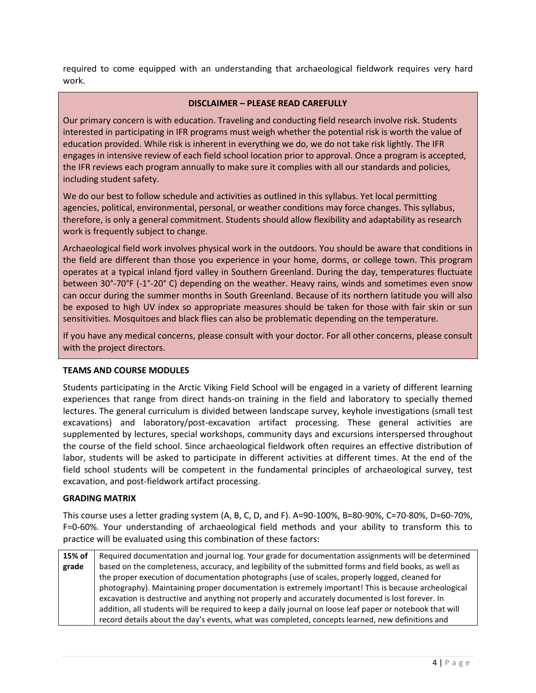required to come equipped with an understanding that archaeological fieldwork requires very hard work.

#### **DISCLAIMER – PLEASE READ CAREFULLY**

Our primary concern is with education. Traveling and conducting field research involve risk. Students interested in participating in IFR programs must weigh whether the potential risk is worth the value of education provided. While risk is inherent in everything we do, we do not take risk lightly. The IFR engages in intensive review of each field school location prior to approval. Once a program is accepted, the IFR reviews each program annually to make sure it complies with all our standards and policies, including student safety.

We do our best to follow schedule and activities as outlined in this syllabus. Yet local permitting agencies, political, environmental, personal, or weather conditions may force changes. This syllabus, therefore, is only a general commitment. Students should allow flexibility and adaptability as research work is frequently subject to change.

Archaeological field work involves physical work in the outdoors. You should be aware that conditions in the field are different than those you experience in your home, dorms, or college town. This program operates at a typical inland fjord valley in Southern Greenland. During the day, temperatures fluctuate between 30°‐70°F (-1°-20° C) depending on the weather. Heavy rains, winds and sometimes even snow can occur during the summer months in South Greenland. Because of its northern latitude you will also be exposed to high UV index so appropriate measures should be taken for those with fair skin or sun sensitivities. Mosquitoes and black flies can also be problematic depending on the temperature.

If you have any medical concerns, please consult with your doctor. For all other concerns, please consult with the project directors.

## **TEAMS AND COURSE MODULES**

Students participating in the Arctic Viking Field School will be engaged in a variety of different learning experiences that range from direct hands-on training in the field and laboratory to specially themed lectures. The general curriculum is divided between landscape survey, keyhole investigations (small test excavations) and laboratory/post-excavation artifact processing. These general activities are supplemented by lectures, special workshops, community days and excursions interspersed throughout the course of the field school. Since archaeological fieldwork often requires an effective distribution of labor, students will be asked to participate in different activities at different times. At the end of the field school students will be competent in the fundamental principles of archaeological survey, test excavation, and post-fieldwork artifact processing.

#### **GRADING MATRIX**

This course uses a letter grading system (A, B, C, D, and F). A=90-100%, B=80-90%, C=70-80%, D=60-70%, F=0-60%. Your understanding of archaeological field methods and your ability to transform this to practice will be evaluated using this combination of these factors:

**15% of grade** Required documentation and journal log. Your grade for documentation assignments will be determined based on the completeness, accuracy, and legibility of the submitted forms and field books, as well as the proper execution of documentation photographs (use of scales, properly logged, cleaned for photography). Maintaining proper documentation is extremely important! This is because archeological excavation is destructive and anything not properly and accurately documented is lost forever. In addition, all students will be required to keep a daily journal on loose leaf paper or notebook that will record details about the day's events, what was completed, concepts learned, new definitions and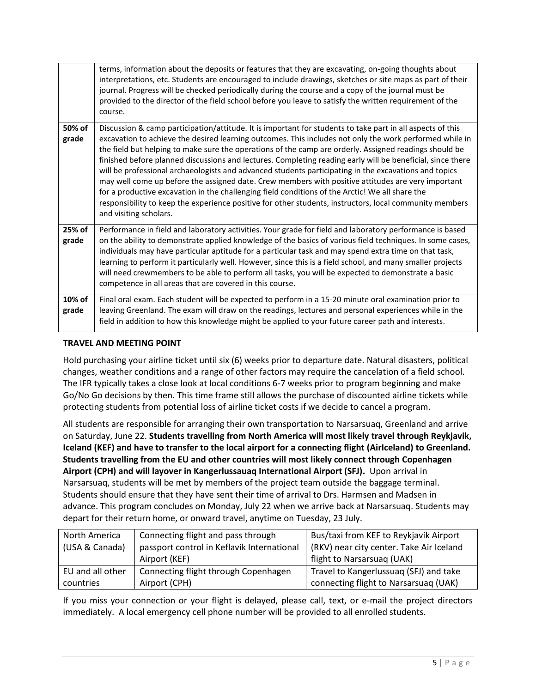|                 | terms, information about the deposits or features that they are excavating, on-going thoughts about<br>interpretations, etc. Students are encouraged to include drawings, sketches or site maps as part of their<br>journal. Progress will be checked periodically during the course and a copy of the journal must be<br>provided to the director of the field school before you leave to satisfy the written requirement of the<br>course.                                                                                                                                                                                                                                                                                                                                                                                                                                                         |
|-----------------|------------------------------------------------------------------------------------------------------------------------------------------------------------------------------------------------------------------------------------------------------------------------------------------------------------------------------------------------------------------------------------------------------------------------------------------------------------------------------------------------------------------------------------------------------------------------------------------------------------------------------------------------------------------------------------------------------------------------------------------------------------------------------------------------------------------------------------------------------------------------------------------------------|
| 50% of<br>grade | Discussion & camp participation/attitude. It is important for students to take part in all aspects of this<br>excavation to achieve the desired learning outcomes. This includes not only the work performed while in<br>the field but helping to make sure the operations of the camp are orderly. Assigned readings should be<br>finished before planned discussions and lectures. Completing reading early will be beneficial, since there<br>will be professional archaeologists and advanced students participating in the excavations and topics<br>may well come up before the assigned date. Crew members with positive attitudes are very important<br>for a productive excavation in the challenging field conditions of the Arctic! We all share the<br>responsibility to keep the experience positive for other students, instructors, local community members<br>and visiting scholars. |
| 25% of<br>grade | Performance in field and laboratory activities. Your grade for field and laboratory performance is based<br>on the ability to demonstrate applied knowledge of the basics of various field techniques. In some cases,<br>individuals may have particular aptitude for a particular task and may spend extra time on that task,<br>learning to perform it particularly well. However, since this is a field school, and many smaller projects<br>will need crewmembers to be able to perform all tasks, you will be expected to demonstrate a basic<br>competence in all areas that are covered in this course.                                                                                                                                                                                                                                                                                       |
| 10% of<br>grade | Final oral exam. Each student will be expected to perform in a 15-20 minute oral examination prior to<br>leaving Greenland. The exam will draw on the readings, lectures and personal experiences while in the<br>field in addition to how this knowledge might be applied to your future career path and interests.                                                                                                                                                                                                                                                                                                                                                                                                                                                                                                                                                                                 |

## **TRAVEL AND MEETING POINT**

Hold purchasing your airline ticket until six (6) weeks prior to departure date. Natural disasters, political changes, weather conditions and a range of other factors may require the cancelation of a field school. The IFR typically takes a close look at local conditions 6-7 weeks prior to program beginning and make Go/No Go decisions by then. This time frame still allows the purchase of discounted airline tickets while protecting students from potential loss of airline ticket costs if we decide to cancel a program.

All students are responsible for arranging their own transportation to Narsarsuaq, Greenland and arrive on Saturday, June 22. **Students travelling from North America will most likely travel through Reykjavik, Iceland (KEF) and have to transfer to the local airport for a connecting flight (AirIceland) to Greenland. Students travelling from the EU and other countries will most likely connect through Copenhagen Airport (CPH) and will layover in Kangerlussauaq International Airport (SFJ).** Upon arrival in Narsarsuaq, students will be met by members of the project team outside the baggage terminal. Students should ensure that they have sent their time of arrival to Drs. Harmsen and Madsen in advance. This program concludes on Monday, July 22 when we arrive back at Narsarsuaq. Students may depart for their return home, or onward travel, anytime on Tuesday, 23 July.

| North America    | Connecting flight and pass through         | Bus/taxi from KEF to Reykjavík Airport   |
|------------------|--------------------------------------------|------------------------------------------|
| (USA & Canada)   | passport control in Keflavik International | (RKV) near city center. Take Air Iceland |
|                  | Airport (KEF)                              | flight to Narsarsuag (UAK)               |
| EU and all other | Connecting flight through Copenhagen       | Travel to Kangerlussuaq (SFJ) and take   |
| countries        | Airport (CPH)                              | connecting flight to Narsarsuag (UAK)    |

If you miss your connection or your flight is delayed, please call, text, or e-mail the project directors immediately. A local emergency cell phone number will be provided to all enrolled students.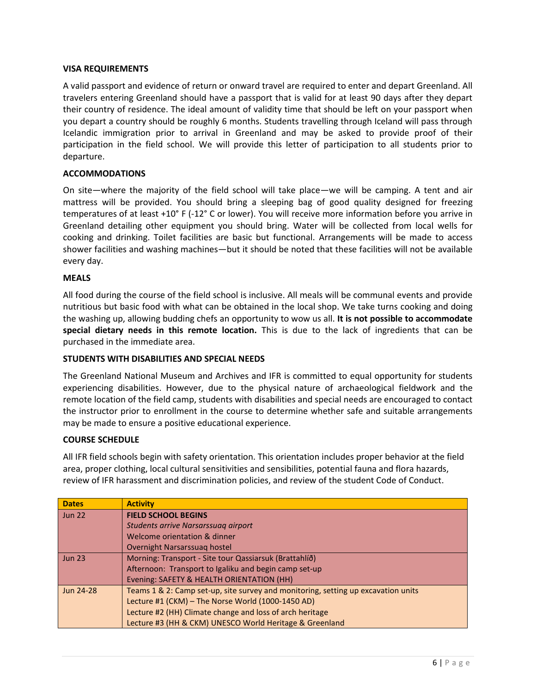#### **VISA REQUIREMENTS**

A valid passport and evidence of return or onward travel are required to enter and depart Greenland. All travelers entering Greenland should have a passport that is valid for at least 90 days after they depart their country of residence. The ideal amount of validity time that should be left on your passport when you depart a country should be roughly 6 months. Students travelling through Iceland will pass through Icelandic immigration prior to arrival in Greenland and may be asked to provide proof of their participation in the field school. We will provide this letter of participation to all students prior to departure.

#### **ACCOMMODATIONS**

On site—where the majority of the field school will take place—we will be camping. A tent and air mattress will be provided. You should bring a sleeping bag of good quality designed for freezing temperatures of at least +10° F (-12° C or lower). You will receive more information before you arrive in Greenland detailing other equipment you should bring. Water will be collected from local wells for cooking and drinking. Toilet facilities are basic but functional. Arrangements will be made to access shower facilities and washing machines—but it should be noted that these facilities will not be available every day.

#### **MEALS**

All food during the course of the field school is inclusive. All meals will be communal events and provide nutritious but basic food with what can be obtained in the local shop. We take turns cooking and doing the washing up, allowing budding chefs an opportunity to wow us all. **It is not possible to accommodate special dietary needs in this remote location.** This is due to the lack of ingredients that can be purchased in the immediate area.

## **STUDENTS WITH DISABILITIES AND SPECIAL NEEDS**

The Greenland National Museum and Archives and IFR is committed to equal opportunity for students experiencing disabilities. However, due to the physical nature of archaeological fieldwork and the remote location of the field camp, students with disabilities and special needs are encouraged to contact the instructor prior to enrollment in the course to determine whether safe and suitable arrangements may be made to ensure a positive educational experience.

#### **COURSE SCHEDULE**

All IFR field schools begin with safety orientation. This orientation includes proper behavior at the field area, proper clothing, local cultural sensitivities and sensibilities, potential fauna and flora hazards, review of IFR harassment and discrimination policies, and review of the student Code of Conduct.

| <b>Dates</b>  | <b>Activity</b>                                                                   |
|---------------|-----------------------------------------------------------------------------------|
| <b>Jun 22</b> | <b>FIELD SCHOOL BEGINS</b>                                                        |
|               | Students arrive Narsarssuag airport                                               |
|               | Welcome orientation & dinner                                                      |
|               | Overnight Narsarssuag hostel                                                      |
| <b>Jun 23</b> | Morning: Transport - Site tour Qassiarsuk (Brattahlíð)                            |
|               | Afternoon: Transport to Igaliku and begin camp set-up                             |
|               | Evening: SAFETY & HEALTH ORIENTATION (HH)                                         |
| Jun 24-28     | Teams 1 & 2: Camp set-up, site survey and monitoring, setting up excavation units |
|               | Lecture #1 (CKM) - The Norse World (1000-1450 AD)                                 |
|               | Lecture #2 (HH) Climate change and loss of arch heritage                          |
|               | Lecture #3 (HH & CKM) UNESCO World Heritage & Greenland                           |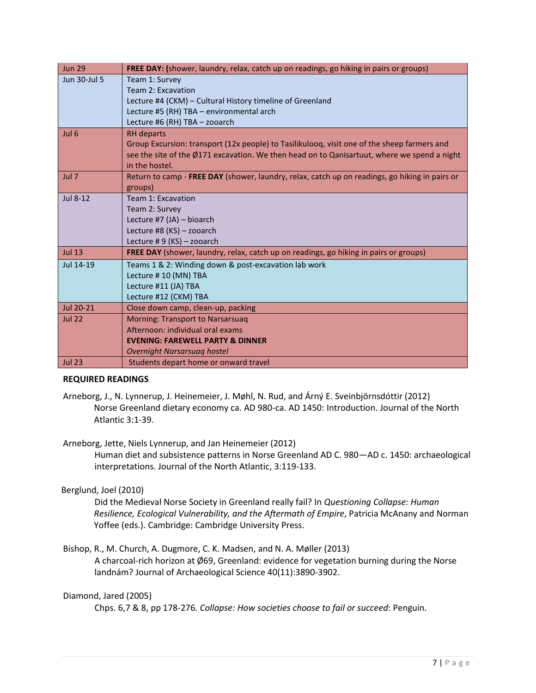| <b>Jun 29</b>    | FREE DAY: (shower, laundry, relax, catch up on readings, go hiking in pairs or groups)                |
|------------------|-------------------------------------------------------------------------------------------------------|
| Jun 30-Jul 5     | Team 1: Survey                                                                                        |
|                  | Team 2: Excavation                                                                                    |
|                  | Lecture #4 (CKM) – Cultural History timeline of Greenland                                             |
|                  | Lecture #5 (RH) TBA - environmental arch                                                              |
|                  | Lecture #6 (RH) TBA - zooarch                                                                         |
| Jul <sub>6</sub> | <b>RH</b> departs                                                                                     |
|                  | Group Excursion: transport (12x people) to Tasilikuloog, visit one of the sheep farmers and           |
|                  | see the site of the Ø171 excavation. We then head on to Qanisartuut, where we spend a night           |
|                  | in the hostel.                                                                                        |
| Jul 7            | Return to camp - <b>FREE DAY</b> (shower, laundry, relax, catch up on readings, go hiking in pairs or |
|                  | groups)                                                                                               |
| Jul 8-12         | Team 1: Excavation                                                                                    |
|                  | Team 2: Survey                                                                                        |
|                  | Lecture #7 (JA) - bioarch                                                                             |
|                  | Lecture #8 (KS) - zooarch                                                                             |
|                  | Lecture #9 (KS) - zooarch                                                                             |
| Jul 13           | FREE DAY (shower, laundry, relax, catch up on readings, go hiking in pairs or groups)                 |
| Jul 14-19        | Teams 1 & 2: Winding down & post-excavation lab work                                                  |
|                  | Lecture #10 (MN) TBA                                                                                  |
|                  | Lecture #11 (JA) TBA                                                                                  |
|                  | Lecture #12 (CKM) TBA                                                                                 |
| Jul 20-21        | Close down camp, clean-up, packing                                                                    |
| <b>Jul 22</b>    | <b>Morning: Transport to Narsarsuag</b>                                                               |
|                  | Afternoon: individual oral exams                                                                      |
|                  | <b>EVENING: FAREWELL PARTY &amp; DINNER</b>                                                           |
|                  | Overnight Narsarsuag hostel                                                                           |
| <b>Jul 23</b>    | Students depart home or onward travel                                                                 |

## **REQUIRED READINGS**

Arneborg, J., N. Lynnerup, J. Heinemeier, J. Møhl, N. Rud, and Árný E. Sveinbjörnsdóttir (2012) Norse Greenland dietary economy ca. AD 980-ca. AD 1450: Introduction. Journal of the North Atlantic 3:1-39.

Arneborg, Jette, Niels Lynnerup, and Jan Heinemeier (2012)

Human diet and subsistence patterns in Norse Greenland AD C. 980—AD c. 1450: archaeological interpretations. Journal of the North Atlantic, 3:119-133.

## Berglund, Joel (2010)

Did the Medieval Norse Society in Greenland really fail? In *Questioning Collapse: Human Resilience, Ecological Vulnerability, and the Aftermath of Empire*, Patricia McAnany and Norman Yoffee (eds.). Cambridge: Cambridge University Press.

Bishop, R., M. Church, A. Dugmore, C. K. Madsen, and N. A. Møller (2013)

A charcoal-rich horizon at Ø69, Greenland: evidence for vegetation burning during the Norse landnám? Journal of Archaeological Science 40(11):3890-3902.

## Diamond, Jared (2005)

Chps. 6,7 & 8, pp 178-276*. Collapse: How societies choose to fail or succeed*: Penguin.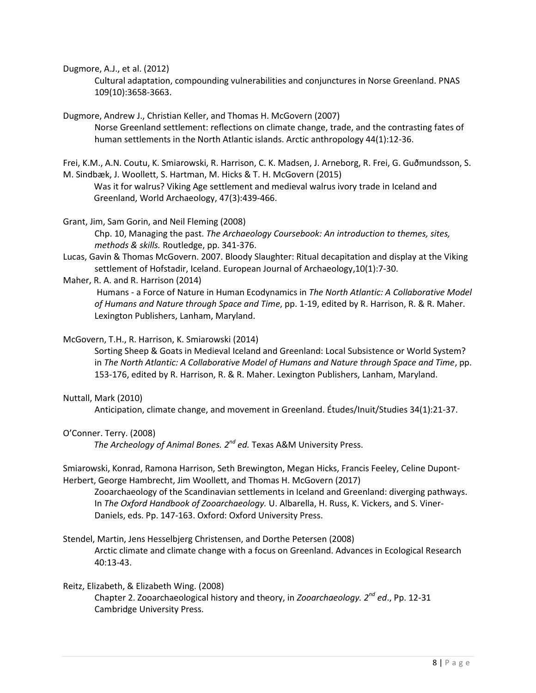Dugmore, A.J., et al. (2012)

Cultural adaptation, compounding vulnerabilities and conjunctures in Norse Greenland. PNAS 109(10):3658-3663.

Dugmore, Andrew J., Christian Keller, and Thomas H. McGovern (2007) Norse Greenland settlement: reflections on climate change, trade, and the contrasting fates of human settlements in the North Atlantic islands. Arctic anthropology 44(1):12-36.

Frei, K.M., A.N. Coutu, K. Smiarowski, R. Harrison, C. K. Madsen, J. Arneborg, R. Frei, G. Guðmundsson, S. M. Sindbæk, J. Woollett, S. Hartman, M. Hicks & T. H. McGovern (2015)

Was it for walrus? Viking Age settlement and medieval walrus ivory trade in Iceland and Greenland, World Archaeology, 47(3):439-466.

Grant, Jim, Sam Gorin, and Neil Fleming (2008)

Chp. 10, Managing the past. *The Archaeology Coursebook: An introduction to themes, sites, methods & skills.* Routledge, pp. 341-376.

- Lucas, Gavin & Thomas McGovern. 2007. Bloody Slaughter: Ritual decapitation and display at the Viking settlement of Hofstadir, Iceland. European Journal of Archaeology,10(1):7-30.
- Maher, R. A. and R. Harrison (2014)

Humans - a Force of Nature in Human Ecodynamics in *The North Atlantic: A Collaborative Model of Humans and Nature through Space and Time*, pp. 1-19, edited by R. Harrison, R. & R. Maher. Lexington Publishers, Lanham, Maryland.

#### McGovern, T.H., R. Harrison, K. Smiarowski (2014)

Sorting Sheep & Goats in Medieval Iceland and Greenland: Local Subsistence or World System? in *The North Atlantic: A Collaborative Model of Humans and Nature through Space and Time*, pp. 153-176, edited by R. Harrison, R. & R. Maher. Lexington Publishers, Lanham, Maryland.

#### Nuttall, Mark (2010)

Anticipation, climate change, and movement in Greenland. Études/Inuit/Studies 34(1):21-37.

#### O'Conner. Terry. (2008)

The Archeology of Animal Bones. 2<sup>nd</sup> ed. Texas A&M University Press.

Smiarowski, Konrad, Ramona Harrison, Seth Brewington, Megan Hicks, Francis Feeley, Celine Dupont-Herbert, George Hambrecht, Jim Woollett, and Thomas H. McGovern (2017)

Zooarchaeology of the Scandinavian settlements in Iceland and Greenland: diverging pathways. In *The Oxford Handbook of Zooarchaeology.* U. Albarella, H. Russ, K. Vickers, and S. Viner-Daniels, eds. Pp. 147-163. Oxford: Oxford University Press.

## Stendel, Martin, Jens Hesselbjerg Christensen, and Dorthe Petersen (2008)

Arctic climate and climate change with a focus on Greenland. Advances in Ecological Research 40:13-43.

## Reitz, Elizabeth, & Elizabeth Wing. (2008)

Chapter 2. Zooarchaeological history and theory, in *Zooarchaeology. 2nd ed*., Pp. 12-31 Cambridge University Press.